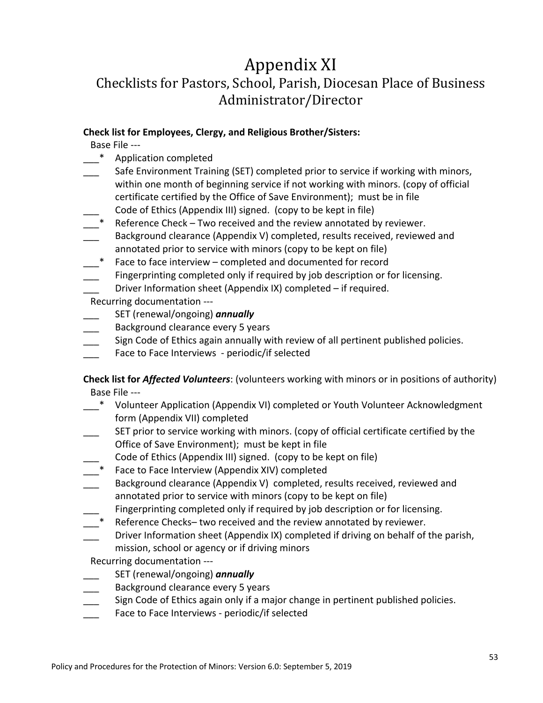# Appendix XI

## Checklists for Pastors, School, Parish, Diocesan Place of Business Administrator/Director

#### **Check list for Employees, Clergy, and Religious Brother/Sisters:**

Base File ---

- \_\_\_\* Application completed
- Safe Environment Training (SET) completed prior to service if working with minors, within one month of beginning service if not working with minors. (copy of official certificate certified by the Office of Save Environment); must be in file
- Code of Ethics (Appendix III) signed. (copy to be kept in file)
- Reference Check Two received and the review annotated by reviewer.
- Background clearance (Appendix V) completed, results received, reviewed and annotated prior to service with minors (copy to be kept on file)
- Face to face interview completed and documented for record

Fingerprinting completed only if required by job description or for licensing. Driver Information sheet (Appendix IX) completed – if required.

Recurring documentation ---

- SET (renewal/ongoing) **annually**
- Background clearance every 5 years
- Sign Code of Ethics again annually with review of all pertinent published policies.
- Face to Face Interviews periodic/if selected

#### **Check list for** *Affected Volunteers*: (volunteers working with minors or in positions of authority) Base File ---

- \_\_\_\* Volunteer Application (Appendix VI) completed or Youth Volunteer Acknowledgment form (Appendix VII) completed
- SET prior to service working with minors. (copy of official certificate certified by the Office of Save Environment); must be kept in file
- Code of Ethics (Appendix III) signed. (copy to be kept on file)
- Face to Face Interview (Appendix XIV) completed
- Background clearance (Appendix V) completed, results received, reviewed and annotated prior to service with minors (copy to be kept on file)
- Fingerprinting completed only if required by job description or for licensing.
- Reference Checks– two received and the review annotated by reviewer.
- Driver Information sheet (Appendix IX) completed if driving on behalf of the parish, mission, school or agency or if driving minors

Recurring documentation ---

- \_\_\_ SET (renewal/ongoing) *annually*
- Background clearance every 5 years
- Sign Code of Ethics again only if a major change in pertinent published policies.
- Face to Face Interviews periodic/if selected